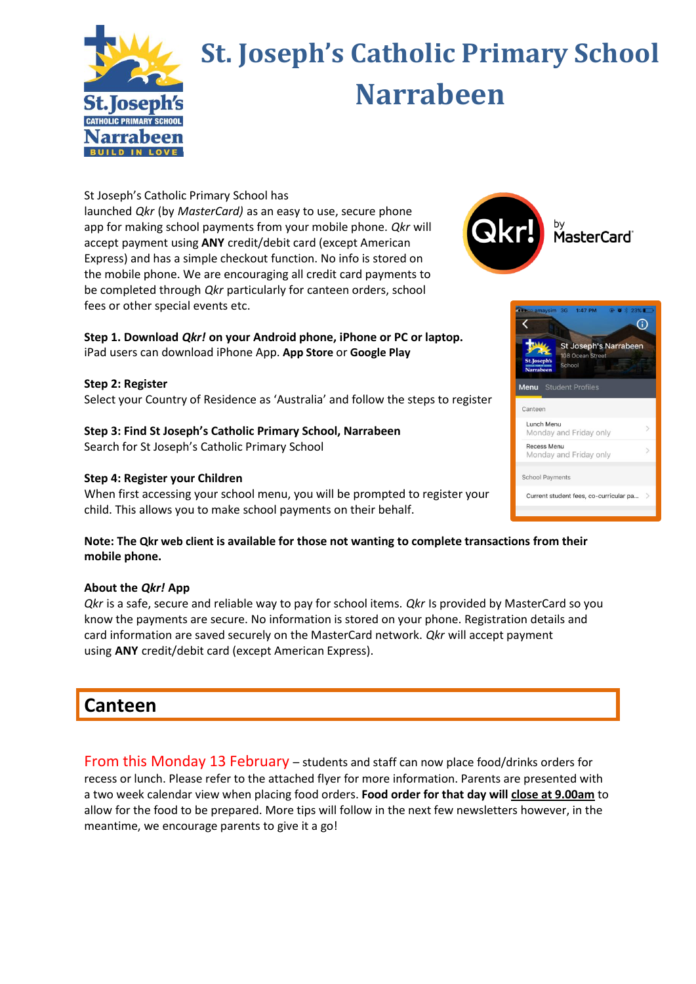

# **St. Joseph's Catholic Primary School Narrabeen**

St Joseph's Catholic Primary School has

launched *Qkr* (by *MasterCard)* as an easy to use, secure phone app for making school payments from your mobile phone. *Qkr* will accept payment using **ANY** credit/debit card (except American Express) and has a simple checkout function. No info is stored on the mobile phone. We are encouraging all credit card payments to be completed through *Qkr* particularly for canteen orders, school fees or other special events etc.

### **Step 1. Download** *Qkr!* **on your Android phone, iPhone or PC or laptop.** iPad users can download iPhone App. **[App Store](https://itunes.apple.com/en/app/qkr!-with-masterpass/id589799471?mt=8)** or **[Google Play](https://play.google.com/store/apps/details?id=com.mastercard.labs.qkr&hl=en)**

**Step 2: Register** Select your Country of Residence as 'Australia' and follow the steps to register

**Step 3: Find St Joseph's Catholic Primary School, Narrabeen** Search for St Joseph's Catholic Primary School

# **Step 4: Register your Children**

When first accessing your school menu, you will be prompted to register your child. This allows you to make school payments on their behalf.





**Note: The [Qkr web client](https://qkr.mastercard.com/store/) is available for those not wanting to complete transactions from their mobile phone.**

## **About the** *Qkr!* **App**

*Qkr* is a safe, secure and reliable way to pay for school items. *Qkr* Is provided by MasterCard so you know the payments are secure. No information is stored on your phone. Registration details and card information are saved securely on the MasterCard network. *Qkr* will accept payment using **ANY** credit/debit card (except American Express).

# **Canteen**

From this Monday 13 February – students and staff can now place food/drinks orders for recess or lunch. Please refer to the attached flyer for more information. Parents are presented with a two week calendar view when placing food orders. **Food order for that day will close at 9.00am** to allow for the food to be prepared. More tips will follow in the next few newsletters however, in the meantime, we encourage parents to give it a go!